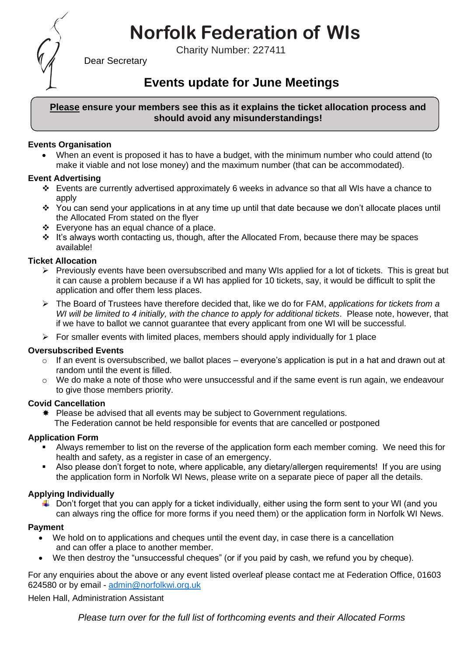# **Norfolk Federation of WIs**

Charity Number: 227411



Dear Secretary

## **Events update for June Meetings**

#### **Please ensure your members see this as it explains the ticket allocation process and should avoid any misunderstandings!**

#### **Events Organisation**

• When an event is proposed it has to have a budget, with the minimum number who could attend (to make it viable and not lose money) and the maximum number (that can be accommodated).

#### **Event Advertising**

- ❖ Events are currently advertised approximately 6 weeks in advance so that all WIs have a chance to apply
- ❖ You can send your applications in at any time up until that date because we don't allocate places until the Allocated From stated on the flyer
- ❖ Everyone has an equal chance of a place.
- ❖ It's always worth contacting us, though, after the Allocated From, because there may be spaces available!

#### **Ticket Allocation**

- $\triangleright$  Previously events have been oversubscribed and many WIs applied for a lot of tickets. This is great but it can cause a problem because if a WI has applied for 10 tickets, say, it would be difficult to split the application and offer them less places.
- ➢ The Board of Trustees have therefore decided that, like we do for FAM, *applications for tickets from a WI will be limited to 4 initially, with the chance to apply for additional tickets*. Please note, however, that if we have to ballot we cannot guarantee that every applicant from one WI will be successful.
- $\triangleright$  For smaller events with limited places, members should apply individually for 1 place

#### **Oversubscribed Events**

- $\circ$  If an event is oversubscribed, we ballot places everyone's application is put in a hat and drawn out at random until the event is filled.
- $\circ$  We do make a note of those who were unsuccessful and if the same event is run again, we endeavour to give those members priority.

#### **Covid Cancellation**

 $*$  Please be advised that all events may be subject to Government regulations. The Federation cannot be held responsible for events that are cancelled or postponed

#### **Application Form**

- Always remember to list on the reverse of the application form each member coming. We need this for health and safety, as a register in case of an emergency.
- Also please don't forget to note, where applicable, any dietary/allergen requirements! If you are using the application form in Norfolk WI News, please write on a separate piece of paper all the details.

### **Applying Individually**

 $\downarrow$  Don't forget that you can apply for a ticket individually, either using the form sent to your WI (and you can always ring the office for more forms if you need them) or the application form in Norfolk WI News.

#### **Payment**

- We hold on to applications and cheques until the event day, in case there is a cancellation and can offer a place to another member.
- We then destroy the "unsuccessful cheques" (or if you paid by cash, we refund you by cheque).

For any enquiries about the above or any event listed overleaf please contact me at Federation Office, 01603 624580 or by email - [admin@norfolkwi.org.uk](mailto:admin@norfolkwi.org.uk) 

Helen Hall, Administration Assistant

*Please turn over for the full list of forthcoming events and their Allocated Forms*